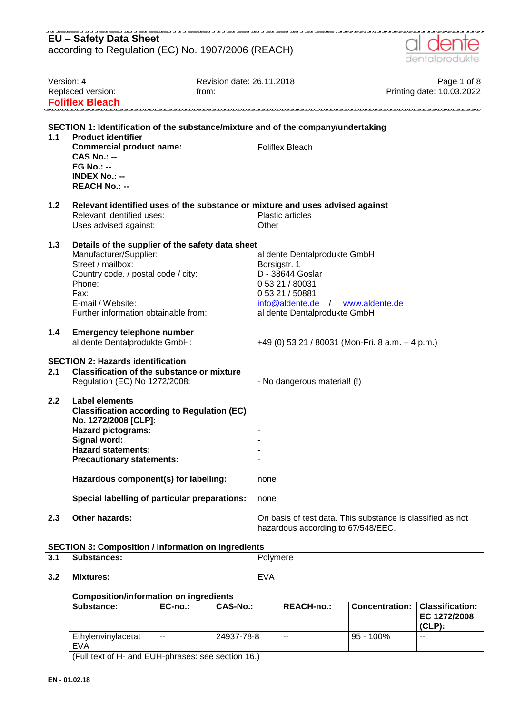|                                                                    | <b>EU - Safety Data Sheet</b><br>according to Regulation (EC) No. 1907/2006 (REACH)                                                                                                                                                                        |                                                                                                                                                                            | dentalprodukte                                             |
|--------------------------------------------------------------------|------------------------------------------------------------------------------------------------------------------------------------------------------------------------------------------------------------------------------------------------------------|----------------------------------------------------------------------------------------------------------------------------------------------------------------------------|------------------------------------------------------------|
| Version: 4<br>Replaced version:<br>from:<br><b>Foliflex Bleach</b> |                                                                                                                                                                                                                                                            | Revision date: 26.11.2018                                                                                                                                                  | Page 1 of 8<br>Printing date: 10.03.2022                   |
|                                                                    |                                                                                                                                                                                                                                                            | SECTION 1: Identification of the substance/mixture and of the company/undertaking                                                                                          |                                                            |
| 1.1                                                                | <b>Product identifier</b><br><b>Commercial product name:</b><br>$CAS No.: -$<br><b>EG No.: --</b><br><b>INDEX No.: --</b><br><b>REACH No.: --</b>                                                                                                          | <b>Foliflex Bleach</b>                                                                                                                                                     |                                                            |
| 1.2                                                                | Relevant identified uses:<br>Uses advised against:                                                                                                                                                                                                         | Relevant identified uses of the substance or mixture and uses advised against<br><b>Plastic articles</b><br>Other                                                          |                                                            |
| $1.3$                                                              | Details of the supplier of the safety data sheet<br>Manufacturer/Supplier:<br>Street / mailbox:<br>Country code. / postal code / city:<br>Phone:<br>Fax:<br>E-mail / Website:<br>Further information obtainable from:                                      | al dente Dentalprodukte GmbH<br>Borsigstr. 1<br>D - 38644 Goslar<br>0 53 21 / 80031<br>0 53 21 / 50881<br>info@aldente.de / www.aldente.de<br>al dente Dentalprodukte GmbH |                                                            |
| 1.4                                                                | <b>Emergency telephone number</b><br>al dente Dentalprodukte GmbH:                                                                                                                                                                                         | +49 (0) 53 21 / 80031 (Mon-Fri. 8 a.m. $-$ 4 p.m.)                                                                                                                         |                                                            |
|                                                                    | <b>SECTION 2: Hazards identification</b>                                                                                                                                                                                                                   |                                                                                                                                                                            |                                                            |
| 2.1                                                                | <b>Classification of the substance or mixture</b><br>Regulation (EC) No 1272/2008:                                                                                                                                                                         | - No dangerous material! (!)                                                                                                                                               |                                                            |
| 2.2                                                                | <b>Label elements</b><br><b>Classification according to Regulation (EC)</b><br>No. 1272/2008 [CLP]:<br><b>Hazard pictograms:</b><br>Signal word:<br><b>Hazard statements:</b><br><b>Precautionary statements:</b><br>Hazardous component(s) for labelling: | none                                                                                                                                                                       |                                                            |
|                                                                    | Special labelling of particular preparations:                                                                                                                                                                                                              |                                                                                                                                                                            |                                                            |
| 2.3                                                                | <b>Other hazards:</b>                                                                                                                                                                                                                                      | none<br>hazardous according to 67/548/EEC.                                                                                                                                 | On basis of test data. This substance is classified as not |
|                                                                    | <b>SECTION 3: Composition / information on ingredients</b>                                                                                                                                                                                                 |                                                                                                                                                                            |                                                            |
| 3.1                                                                | <b>Substances:</b>                                                                                                                                                                                                                                         | Polymere                                                                                                                                                                   |                                                            |

.<br>1997 marcano cano ano ano ano 300 metrio del 1998 metri no 1997 metri norte no 1997 metri norte no 1997 metri

**3.2 Mixtures:** EVA

## **Composition/information on ingredients**

| Substance:                | $EC-no.$      | CAS-No.:   | <b>REACH-no.:</b> | <b>Concentration:</b> | Classification:<br>EC 1272/2008<br>$(CLP)$ : |
|---------------------------|---------------|------------|-------------------|-----------------------|----------------------------------------------|
| Ethylenvinylacetat<br>EVA | $\sim$ $\sim$ | 24937-78-8 | $-$               | 95 - 100%             | $- -$                                        |

(Full text of H- and EUH-phrases: see section 16.)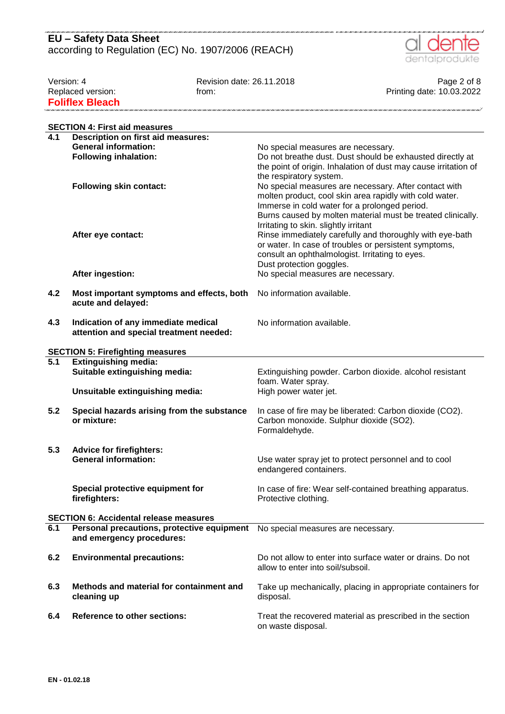#### nin e min e min e min e min e min e min e min e min e min e min e min e min e min e min **EU – Safety Data Sheet** according to Regulation (EC) No. 1907/2006 (REACH)



Version: 4 Page 2 of 8<br>Replaced version: 10.03.2022 From: 1 Replaced version: 10.03.2022 from: From: Frinting date: 10.03.2022 **Foliflex Bleach** 

|                  | <b>SECTION 4: First aid measures</b>                                           |                                                                                                                                                                                                                                                                           |
|------------------|--------------------------------------------------------------------------------|---------------------------------------------------------------------------------------------------------------------------------------------------------------------------------------------------------------------------------------------------------------------------|
| 4.1              | <b>Description on first aid measures:</b>                                      |                                                                                                                                                                                                                                                                           |
|                  | <b>General information:</b>                                                    | No special measures are necessary.                                                                                                                                                                                                                                        |
|                  | <b>Following inhalation:</b>                                                   | Do not breathe dust. Dust should be exhausted directly at<br>the point of origin. Inhalation of dust may cause irritation of<br>the respiratory system.                                                                                                                   |
|                  | <b>Following skin contact:</b>                                                 | No special measures are necessary. After contact with<br>molten product, cool skin area rapidly with cold water.<br>Immerse in cold water for a prolonged period.<br>Burns caused by molten material must be treated clinically.<br>Irritating to skin. slightly irritant |
|                  | After eye contact:                                                             | Rinse immediately carefully and thoroughly with eye-bath<br>or water. In case of troubles or persistent symptoms,<br>consult an ophthalmologist. Irritating to eyes.<br>Dust protection goggles.                                                                          |
|                  | After ingestion:                                                               | No special measures are necessary.                                                                                                                                                                                                                                        |
| 4.2              | Most important symptoms and effects, both<br>acute and delayed:                | No information available.                                                                                                                                                                                                                                                 |
| 4.3              | Indication of any immediate medical<br>attention and special treatment needed: | No information available.                                                                                                                                                                                                                                                 |
|                  | <b>SECTION 5: Firefighting measures</b>                                        |                                                                                                                                                                                                                                                                           |
| $\overline{5.1}$ | <b>Extinguishing media:</b>                                                    |                                                                                                                                                                                                                                                                           |
|                  | Suitable extinguishing media:                                                  | Extinguishing powder. Carbon dioxide. alcohol resistant                                                                                                                                                                                                                   |
|                  | Unsuitable extinguishing media:                                                | foam. Water spray.<br>High power water jet.                                                                                                                                                                                                                               |
| 5.2              | Special hazards arising from the substance<br>or mixture:                      | In case of fire may be liberated: Carbon dioxide (CO2).<br>Carbon monoxide. Sulphur dioxide (SO2).<br>Formaldehyde.                                                                                                                                                       |
| 5.3              | <b>Advice for firefighters:</b>                                                |                                                                                                                                                                                                                                                                           |
|                  | <b>General information:</b>                                                    | Use water spray jet to protect personnel and to cool<br>endangered containers.                                                                                                                                                                                            |
|                  | Special protective equipment for<br>firefighters:                              | In case of fire: Wear self-contained breathing apparatus.<br>Protective clothing.                                                                                                                                                                                         |
|                  | <b>SECTION 6: Accidental release measures</b>                                  |                                                                                                                                                                                                                                                                           |
| 6.1              | Personal precautions, protective equipment<br>and emergency procedures:        | No special measures are necessary.                                                                                                                                                                                                                                        |
| 6.2              | <b>Environmental precautions:</b>                                              | Do not allow to enter into surface water or drains. Do not<br>allow to enter into soil/subsoil.                                                                                                                                                                           |
| 6.3              | Methods and material for containment and<br>cleaning up                        | Take up mechanically, placing in appropriate containers for<br>disposal.                                                                                                                                                                                                  |
| 6.4              | <b>Reference to other sections:</b>                                            | Treat the recovered material as prescribed in the section<br>on waste disposal.                                                                                                                                                                                           |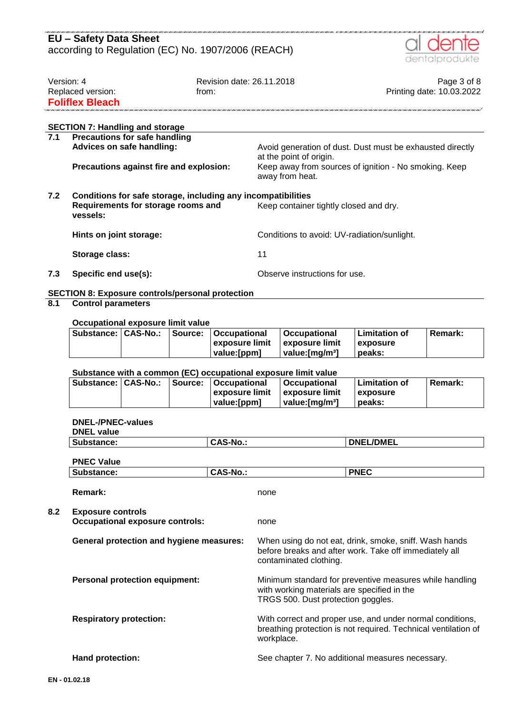

| Version: 4             | Revision date: 26.11.2018 | Page 3 of 8               |
|------------------------|---------------------------|---------------------------|
| Replaced version:      | trom:                     | Printing date: 10.03.2022 |
| <b>Foliflex Bleach</b> |                           |                           |
|                        |                           |                           |
|                        |                           |                           |

|  |  |  | <b>SECTION 7: Handling and storage</b> |
|--|--|--|----------------------------------------|
|--|--|--|----------------------------------------|

| 7.1 | <b>Precautions for safe handling</b>                         |                                                                                      |  |  |  |  |
|-----|--------------------------------------------------------------|--------------------------------------------------------------------------------------|--|--|--|--|
|     | Advices on safe handling:                                    | Avoid generation of dust. Dust must be exhausted directly<br>at the point of origin. |  |  |  |  |
|     | Precautions against fire and explosion:                      | Keep away from sources of ignition - No smoking. Keep<br>away from heat.             |  |  |  |  |
| 7.2 | Conditions for safe storage, including any incompatibilities |                                                                                      |  |  |  |  |
|     | Requirements for storage rooms and<br>vessels:               | Keep container tightly closed and dry.                                               |  |  |  |  |
|     | Hints on joint storage:                                      | Conditions to avoid: UV-radiation/sunlight.                                          |  |  |  |  |
|     | Storage class:                                               | 11                                                                                   |  |  |  |  |
|     |                                                              |                                                                                      |  |  |  |  |

**7.3 Specific end use(s):** Observe instructions for use.

# **SECTION 8: Exposure controls/personal protection**

### **8.1 Control parameters**

#### **Occupational exposure limit value**

| Substance:   CAS-No.: |  | Source:   Occupational         | ∣Occupational                       | l Limitation of | <b>Remark:</b> |
|-----------------------|--|--------------------------------|-------------------------------------|-----------------|----------------|
|                       |  | exposure limit Lexposure limit |                                     | exposure        |                |
|                       |  | value: [ppm]                   | $\vert$ value: [mg/m <sup>3</sup> ] | peaks:          |                |

#### **Substance with a common (EC) occupational exposure limit value**

|  | Substance:   CAS-No.:   Source:   Occupational | Occupational    | <b>Limitation of</b> | Remark: |
|--|------------------------------------------------|-----------------|----------------------|---------|
|  | ∣exposure limit ∣exposure limit                |                 | exposure             |         |
|  | value: [ppm]                                   | ∣ value:ſmɑ/mªl | peaks:               |         |

#### **DNEL-/PNEC-values**

| <b>DNEL value</b>                                                  |                 |                                                                                   |                                                                                                                             |
|--------------------------------------------------------------------|-----------------|-----------------------------------------------------------------------------------|-----------------------------------------------------------------------------------------------------------------------------|
| Substance:                                                         | <b>CAS-No.:</b> |                                                                                   | <b>DNEL/DMEL</b>                                                                                                            |
| <b>PNEC Value</b>                                                  |                 |                                                                                   |                                                                                                                             |
| Substance:                                                         | <b>CAS-No.:</b> |                                                                                   | <b>PNEC</b>                                                                                                                 |
| <b>Remark:</b>                                                     |                 | none                                                                              |                                                                                                                             |
| <b>Exposure controls</b><br><b>Occupational exposure controls:</b> |                 | none                                                                              |                                                                                                                             |
| <b>General protection and hygiene measures:</b>                    |                 | contaminated clothing.                                                            | When using do not eat, drink, smoke, sniff. Wash hands<br>before breaks and after work. Take off immediately all            |
| <b>Personal protection equipment:</b>                              |                 | with working materials are specified in the<br>TRGS 500. Dust protection goggles. | Minimum standard for preventive measures while handling                                                                     |
| <b>Respiratory protection:</b>                                     |                 | workplace.                                                                        | With correct and proper use, and under normal conditions,<br>breathing protection is not required. Technical ventilation of |
| Hand protection:                                                   |                 |                                                                                   | See chapter 7. No additional measures necessary.                                                                            |
| 01.02.18                                                           |                 |                                                                                   |                                                                                                                             |

**8.2 Exposure controls**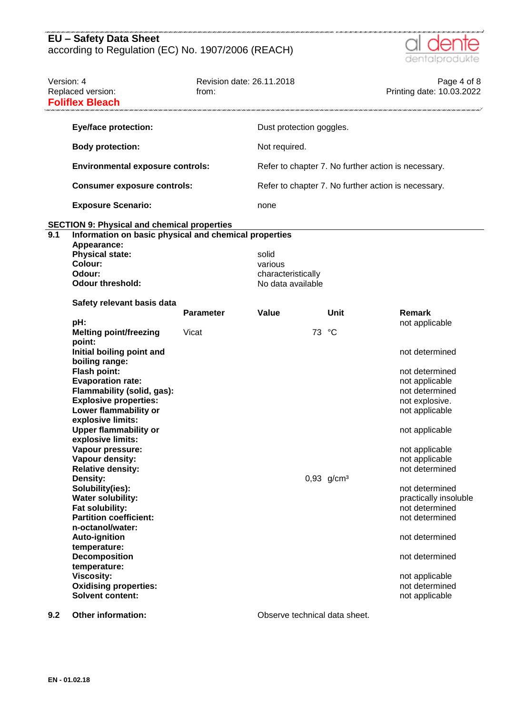

| Version: 4 | Replaced version:<br><b>Foliflex Bleach</b>                                                                 | Revision date: 26.11.2018<br>from: |                          |                          | Page 4 of 8<br>Printing date: 10.03.2022            |
|------------|-------------------------------------------------------------------------------------------------------------|------------------------------------|--------------------------|--------------------------|-----------------------------------------------------|
|            | <b>Eye/face protection:</b>                                                                                 |                                    | Dust protection goggles. |                          |                                                     |
|            | <b>Body protection:</b>                                                                                     |                                    | Not required.            |                          |                                                     |
|            | <b>Environmental exposure controls:</b>                                                                     |                                    |                          |                          | Refer to chapter 7. No further action is necessary. |
|            | <b>Consumer exposure controls:</b>                                                                          |                                    |                          |                          | Refer to chapter 7. No further action is necessary. |
|            | <b>Exposure Scenario:</b>                                                                                   |                                    | none                     |                          |                                                     |
| 9.1        | <b>SECTION 9: Physical and chemical properties</b><br>Information on basic physical and chemical properties |                                    |                          |                          |                                                     |
|            | Appearance:                                                                                                 |                                    |                          |                          |                                                     |
|            | <b>Physical state:</b>                                                                                      |                                    | solid                    |                          |                                                     |
|            | <b>Colour:</b>                                                                                              |                                    | various                  |                          |                                                     |
|            | Odour:                                                                                                      |                                    | characteristically       |                          |                                                     |
|            | <b>Odour threshold:</b>                                                                                     |                                    | No data available        |                          |                                                     |
|            |                                                                                                             |                                    |                          |                          |                                                     |
|            | Safety relevant basis data                                                                                  |                                    |                          |                          |                                                     |
|            |                                                                                                             | <b>Parameter</b>                   | Value                    | Unit                     | Remark                                              |
|            |                                                                                                             |                                    |                          |                          |                                                     |
|            | pH:                                                                                                         |                                    |                          |                          | not applicable                                      |
|            | <b>Melting point/freezing</b>                                                                               | Vicat                              |                          | 73<br>°C                 |                                                     |
|            | point:                                                                                                      |                                    |                          |                          |                                                     |
|            | Initial boiling point and                                                                                   |                                    |                          |                          | not determined                                      |
|            | boiling range:                                                                                              |                                    |                          |                          |                                                     |
|            | <b>Flash point:</b>                                                                                         |                                    |                          |                          | not determined                                      |
|            | <b>Evaporation rate:</b>                                                                                    |                                    |                          |                          | not applicable                                      |
|            | Flammability (solid, gas):                                                                                  |                                    |                          |                          | not determined                                      |
|            | <b>Explosive properties:</b>                                                                                |                                    |                          |                          | not explosive.                                      |
|            | Lower flammability or                                                                                       |                                    |                          |                          | not applicable                                      |
|            | explosive limits:                                                                                           |                                    |                          |                          |                                                     |
|            | <b>Upper flammability or</b>                                                                                |                                    |                          |                          | not applicable                                      |
|            | explosive limits:                                                                                           |                                    |                          |                          |                                                     |
|            | Vapour pressure:                                                                                            |                                    |                          |                          | not applicable                                      |
|            | Vapour density:                                                                                             |                                    |                          |                          | not applicable                                      |
|            | <b>Relative density:</b>                                                                                    |                                    |                          |                          | not determined                                      |
|            | Density:                                                                                                    |                                    |                          | $0,93$ g/cm <sup>3</sup> |                                                     |
|            | Solubility(ies):                                                                                            |                                    |                          |                          | not determined                                      |
|            | <b>Water solubility:</b>                                                                                    |                                    |                          |                          | practically insoluble                               |
|            | Fat solubility:                                                                                             |                                    |                          |                          | not determined                                      |
|            | <b>Partition coefficient:</b>                                                                               |                                    |                          |                          | not determined                                      |
|            | n-octanol/water:                                                                                            |                                    |                          |                          |                                                     |
|            | <b>Auto-ignition</b>                                                                                        |                                    |                          |                          | not determined                                      |
|            | temperature:                                                                                                |                                    |                          |                          |                                                     |
|            | <b>Decomposition</b>                                                                                        |                                    |                          |                          | not determined                                      |
|            | temperature:                                                                                                |                                    |                          |                          |                                                     |
|            |                                                                                                             |                                    |                          |                          |                                                     |
|            | <b>Viscosity:</b>                                                                                           |                                    |                          |                          | not applicable                                      |
|            | <b>Oxidising properties:</b>                                                                                |                                    |                          |                          | not determined                                      |
|            | <b>Solvent content:</b>                                                                                     |                                    |                          |                          | not applicable                                      |
|            |                                                                                                             |                                    |                          |                          |                                                     |

**9.2 Other information: Observe technical data sheet.**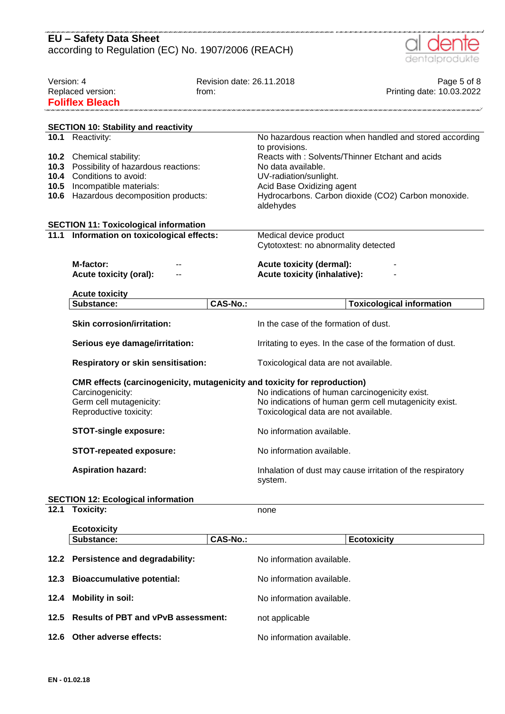| <b>EU - Safety Data Sheet</b><br>according to Regulation (EC) No. 1907/2006 (REACH) |                                                                                                                                                                |                                    |                                                                                                          | dentalprodukte                                                                                         |
|-------------------------------------------------------------------------------------|----------------------------------------------------------------------------------------------------------------------------------------------------------------|------------------------------------|----------------------------------------------------------------------------------------------------------|--------------------------------------------------------------------------------------------------------|
| Version: 4                                                                          | Replaced version:<br><b>Foliflex Bleach</b>                                                                                                                    | Revision date: 26.11.2018<br>from: |                                                                                                          | Page 5 of 8<br>Printing date: 10.03.2022                                                               |
|                                                                                     | <b>SECTION 10: Stability and reactivity</b>                                                                                                                    |                                    |                                                                                                          |                                                                                                        |
|                                                                                     | 10.1 Reactivity:                                                                                                                                               |                                    |                                                                                                          | No hazardous reaction when handled and stored according                                                |
| 10.3<br>10.4<br>10.5<br>10.6                                                        | <b>10.2</b> Chemical stability:<br>Possibility of hazardous reactions:<br>Conditions to avoid:<br>Incompatible materials:<br>Hazardous decomposition products: |                                    | to provisions.<br>No data available.<br>UV-radiation/sunlight.<br>Acid Base Oxidizing agent<br>aldehydes | Reacts with: Solvents/Thinner Etchant and acids<br>Hydrocarbons. Carbon dioxide (CO2) Carbon monoxide. |
|                                                                                     | <b>SECTION 11: Toxicological information</b>                                                                                                                   |                                    |                                                                                                          |                                                                                                        |
| 11.1                                                                                | Information on toxicological effects:                                                                                                                          |                                    | Medical device product<br>Cytotoxtest: no abnormality detected                                           |                                                                                                        |
|                                                                                     | M-factor:<br><b>Acute toxicity (oral):</b>                                                                                                                     |                                    | <b>Acute toxicity (dermal):</b><br><b>Acute toxicity (inhalative):</b>                                   |                                                                                                        |
|                                                                                     | <b>Acute toxicity</b>                                                                                                                                          |                                    |                                                                                                          |                                                                                                        |
|                                                                                     | Substance:                                                                                                                                                     | <b>CAS-No.:</b>                    |                                                                                                          | <b>Toxicological information</b>                                                                       |
|                                                                                     | <b>Skin corrosion/irritation:</b>                                                                                                                              |                                    | In the case of the formation of dust.                                                                    |                                                                                                        |
|                                                                                     | Serious eye damage/irritation:                                                                                                                                 |                                    | Irritating to eyes. In the case of the formation of dust.                                                |                                                                                                        |
|                                                                                     | <b>Respiratory or skin sensitisation:</b>                                                                                                                      |                                    | Toxicological data are not available.                                                                    |                                                                                                        |
|                                                                                     | CMR effects (carcinogenicity, mutagenicity and toxicity for reproduction)<br>Carcinogenicity:<br>Germ cell mutagenicity:<br>Reproductive toxicity:             |                                    | No indications of human carcinogenicity exist.<br>Toxicological data are not available.                  | No indications of human germ cell mutagenicity exist.                                                  |
|                                                                                     | <b>STOT-single exposure:</b>                                                                                                                                   |                                    | No information available.                                                                                |                                                                                                        |
|                                                                                     | <b>STOT-repeated exposure:</b>                                                                                                                                 |                                    | No information available.                                                                                |                                                                                                        |
|                                                                                     | <b>Aspiration hazard:</b>                                                                                                                                      |                                    | Inhalation of dust may cause irritation of the respiratory<br>system.                                    |                                                                                                        |
|                                                                                     | <b>SECTION 12: Ecological information</b>                                                                                                                      |                                    |                                                                                                          |                                                                                                        |
| 12.1                                                                                | <b>Toxicity:</b>                                                                                                                                               |                                    | none                                                                                                     |                                                                                                        |
|                                                                                     | <b>Ecotoxicity</b>                                                                                                                                             |                                    |                                                                                                          |                                                                                                        |
|                                                                                     | Substance:                                                                                                                                                     | <b>CAS-No.:</b>                    |                                                                                                          | <b>Ecotoxicity</b>                                                                                     |
|                                                                                     | 12.2 Persistence and degradability:                                                                                                                            |                                    | No information available.                                                                                |                                                                                                        |
| 12.3                                                                                | <b>Bioaccumulative potential:</b>                                                                                                                              |                                    | No information available.                                                                                |                                                                                                        |
| 12.4                                                                                | <b>Mobility in soil:</b>                                                                                                                                       |                                    | No information available.                                                                                |                                                                                                        |
| 12.5                                                                                | <b>Results of PBT and vPvB assessment:</b><br>not applicable                                                                                                   |                                    |                                                                                                          |                                                                                                        |

**12.6 Other adverse effects:** No information available.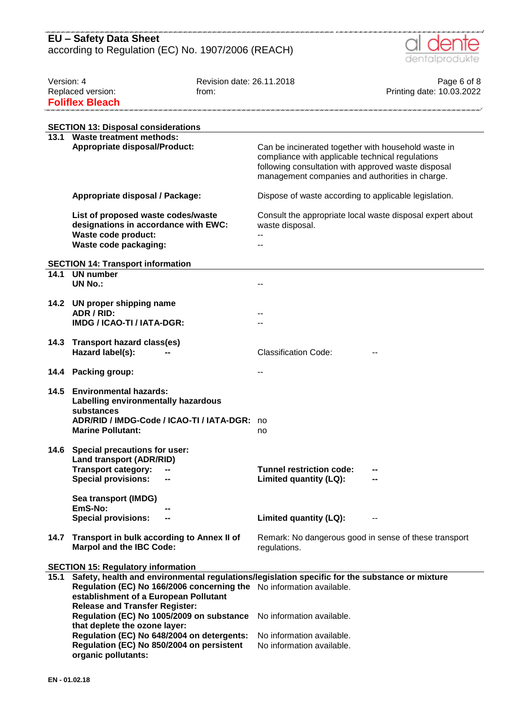

| Version: 4 |                                                                                                | Revision date: 26.11.2018 |                                                           | Page 6 of 8                                               |
|------------|------------------------------------------------------------------------------------------------|---------------------------|-----------------------------------------------------------|-----------------------------------------------------------|
|            | Replaced version:                                                                              | from:                     |                                                           | Printing date: 10.03.2022                                 |
|            | <b>Foliflex Bleach</b>                                                                         |                           |                                                           |                                                           |
|            |                                                                                                |                           |                                                           |                                                           |
|            | <b>SECTION 13: Disposal considerations</b>                                                     |                           |                                                           |                                                           |
|            | 13.1 Waste treatment methods:                                                                  |                           |                                                           |                                                           |
|            | <b>Appropriate disposal/Product:</b>                                                           |                           | Can be incinerated together with household waste in       |                                                           |
|            |                                                                                                |                           | compliance with applicable technical regulations          |                                                           |
|            |                                                                                                |                           | following consultation with approved waste disposal       |                                                           |
|            |                                                                                                |                           | management companies and authorities in charge.           |                                                           |
|            | Appropriate disposal / Package:                                                                |                           |                                                           |                                                           |
|            |                                                                                                |                           | Dispose of waste according to applicable legislation.     |                                                           |
|            | List of proposed waste codes/waste                                                             |                           |                                                           | Consult the appropriate local waste disposal expert about |
|            | designations in accordance with EWC:                                                           |                           | waste disposal.                                           |                                                           |
|            | Waste code product:                                                                            |                           |                                                           |                                                           |
|            | Waste code packaging:                                                                          |                           |                                                           |                                                           |
|            |                                                                                                |                           |                                                           |                                                           |
|            | <b>SECTION 14: Transport information</b>                                                       |                           |                                                           |                                                           |
| 14.1       | <b>UN number</b><br><b>UN No.:</b>                                                             |                           |                                                           |                                                           |
|            |                                                                                                |                           | --                                                        |                                                           |
|            | 14.2 UN proper shipping name                                                                   |                           |                                                           |                                                           |
|            | ADR / RID:                                                                                     |                           |                                                           |                                                           |
|            | IMDG / ICAO-TI / IATA-DGR:                                                                     |                           |                                                           |                                                           |
|            |                                                                                                |                           |                                                           |                                                           |
|            | 14.3 Transport hazard class(es)                                                                |                           |                                                           |                                                           |
|            | Hazard label(s):                                                                               |                           | <b>Classification Code:</b>                               |                                                           |
|            |                                                                                                |                           |                                                           |                                                           |
|            | 14.4 Packing group:                                                                            |                           |                                                           |                                                           |
| 14.5       | <b>Environmental hazards:</b>                                                                  |                           |                                                           |                                                           |
|            | Labelling environmentally hazardous                                                            |                           |                                                           |                                                           |
|            | substances                                                                                     |                           |                                                           |                                                           |
|            | ADR/RID / IMDG-Code / ICAO-TI / IATA-DGR:                                                      |                           | no                                                        |                                                           |
|            | <b>Marine Pollutant:</b>                                                                       |                           | no                                                        |                                                           |
|            |                                                                                                |                           |                                                           |                                                           |
|            | 14.6 Special precautions for user:                                                             |                           |                                                           |                                                           |
|            | Land transport (ADR/RID)                                                                       |                           |                                                           |                                                           |
|            | <b>Transport category:</b><br><b>Special provisions:</b>                                       |                           | <b>Tunnel restriction code:</b><br>Limited quantity (LQ): |                                                           |
|            |                                                                                                |                           |                                                           |                                                           |
|            | Sea transport (IMDG)                                                                           |                           |                                                           |                                                           |
|            | EmS-No:                                                                                        |                           |                                                           |                                                           |
|            | <b>Special provisions:</b>                                                                     |                           | Limited quantity (LQ):                                    |                                                           |
|            |                                                                                                |                           |                                                           |                                                           |
| 14.7       | Transport in bulk according to Annex II of                                                     |                           |                                                           | Remark: No dangerous good in sense of these transport     |
|            | <b>Marpol and the IBC Code:</b>                                                                |                           | regulations.                                              |                                                           |
|            | <b>SECTION 15: Regulatory information</b>                                                      |                           |                                                           |                                                           |
| 15.1       | Safety, health and environmental regulations/legislation specific for the substance or mixture |                           |                                                           |                                                           |
|            | Regulation (EC) No 166/2006 concerning the No information available.                           |                           |                                                           |                                                           |
|            | establishment of a European Pollutant                                                          |                           |                                                           |                                                           |
|            | <b>Release and Transfer Register:</b>                                                          |                           |                                                           |                                                           |
|            | Regulation (EC) No 1005/2009 on substance                                                      |                           | No information available.                                 |                                                           |
|            | that deplete the ozone layer:                                                                  |                           |                                                           |                                                           |
|            | Regulation (EC) No 648/2004 on detergents:                                                     |                           | No information available.                                 |                                                           |
|            | Regulation (EC) No 850/2004 on persistent                                                      |                           | No information available.                                 |                                                           |
|            | organic pollutants:                                                                            |                           |                                                           |                                                           |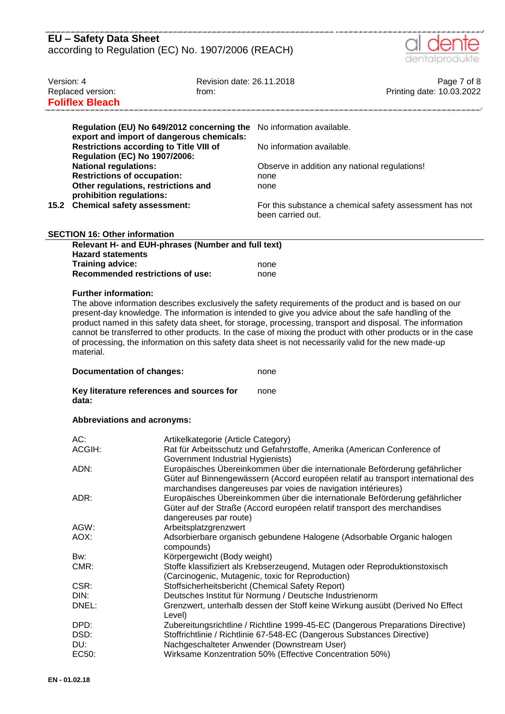| EU - Safety Data Sheet                             |  |
|----------------------------------------------------|--|
| according to Regulation (EC) No. 1907/2006 (REACH) |  |



| Version: 4                                                                                                                                                                                                                                                                    | Replaced version:<br><b>Foliflex Bleach</b>                                                                                                                                                                                                                                                                                                                                                                                                                                                                                                                                                                    | Revision date: 26.11.2018<br>from:                      |                                                                                                                                                                                                                                   | Page 7 of 8<br>Printing date: 10.03.2022 |  |
|-------------------------------------------------------------------------------------------------------------------------------------------------------------------------------------------------------------------------------------------------------------------------------|----------------------------------------------------------------------------------------------------------------------------------------------------------------------------------------------------------------------------------------------------------------------------------------------------------------------------------------------------------------------------------------------------------------------------------------------------------------------------------------------------------------------------------------------------------------------------------------------------------------|---------------------------------------------------------|-----------------------------------------------------------------------------------------------------------------------------------------------------------------------------------------------------------------------------------|------------------------------------------|--|
|                                                                                                                                                                                                                                                                               | export and import of dangerous chemicals:                                                                                                                                                                                                                                                                                                                                                                                                                                                                                                                                                                      | Regulation (EU) No 649/2012 concerning the              | No information available.                                                                                                                                                                                                         |                                          |  |
| <b>Restrictions according to Title VIII of</b><br><b>Regulation (EC) No 1907/2006:</b><br><b>National regulations:</b><br><b>Restrictions of occupation:</b><br>Other regulations, restrictions and<br>prohibition regulations:<br><b>Chemical safety assessment:</b><br>15.2 |                                                                                                                                                                                                                                                                                                                                                                                                                                                                                                                                                                                                                |                                                         | No information available.                                                                                                                                                                                                         |                                          |  |
|                                                                                                                                                                                                                                                                               |                                                                                                                                                                                                                                                                                                                                                                                                                                                                                                                                                                                                                |                                                         | Observe in addition any national regulations!<br>none<br>none<br>For this substance a chemical safety assessment has not                                                                                                          |                                          |  |
|                                                                                                                                                                                                                                                                               |                                                                                                                                                                                                                                                                                                                                                                                                                                                                                                                                                                                                                |                                                         | been carried out.                                                                                                                                                                                                                 |                                          |  |
|                                                                                                                                                                                                                                                                               | <b>SECTION 16: Other information</b>                                                                                                                                                                                                                                                                                                                                                                                                                                                                                                                                                                           |                                                         |                                                                                                                                                                                                                                   |                                          |  |
|                                                                                                                                                                                                                                                                               |                                                                                                                                                                                                                                                                                                                                                                                                                                                                                                                                                                                                                | Relevant H- and EUH-phrases (Number and full text)      |                                                                                                                                                                                                                                   |                                          |  |
|                                                                                                                                                                                                                                                                               | <b>Hazard statements</b>                                                                                                                                                                                                                                                                                                                                                                                                                                                                                                                                                                                       |                                                         |                                                                                                                                                                                                                                   |                                          |  |
|                                                                                                                                                                                                                                                                               | <b>Training advice:</b><br><b>Recommended restrictions of use:</b>                                                                                                                                                                                                                                                                                                                                                                                                                                                                                                                                             |                                                         | none<br>none                                                                                                                                                                                                                      |                                          |  |
|                                                                                                                                                                                                                                                                               |                                                                                                                                                                                                                                                                                                                                                                                                                                                                                                                                                                                                                |                                                         |                                                                                                                                                                                                                                   |                                          |  |
|                                                                                                                                                                                                                                                                               | The above information describes exclusively the safety requirements of the product and is based on our<br>present-day knowledge. The information is intended to give you advice about the safe handling of the<br>product named in this safety data sheet, for storage, processing, transport and disposal. The information<br>cannot be transferred to other products. In the case of mixing the product with other products or in the case<br>of processing, the information on this safety data sheet is not necessarily valid for the new made-up<br>material.<br><b>Documentation of changes:</b><br>none |                                                         |                                                                                                                                                                                                                                   |                                          |  |
|                                                                                                                                                                                                                                                                               |                                                                                                                                                                                                                                                                                                                                                                                                                                                                                                                                                                                                                |                                                         |                                                                                                                                                                                                                                   |                                          |  |
|                                                                                                                                                                                                                                                                               | Key literature references and sources for<br>none<br>data:                                                                                                                                                                                                                                                                                                                                                                                                                                                                                                                                                     |                                                         |                                                                                                                                                                                                                                   |                                          |  |
|                                                                                                                                                                                                                                                                               | Abbreviations and acronyms:                                                                                                                                                                                                                                                                                                                                                                                                                                                                                                                                                                                    |                                                         |                                                                                                                                                                                                                                   |                                          |  |
|                                                                                                                                                                                                                                                                               | AC:                                                                                                                                                                                                                                                                                                                                                                                                                                                                                                                                                                                                            | Artikelkategorie (Article Category)                     |                                                                                                                                                                                                                                   |                                          |  |
|                                                                                                                                                                                                                                                                               | ACGIH:                                                                                                                                                                                                                                                                                                                                                                                                                                                                                                                                                                                                         |                                                         | Rat für Arbeitsschutz und Gefahrstoffe, Amerika (American Conference of                                                                                                                                                           |                                          |  |
|                                                                                                                                                                                                                                                                               | ADN:                                                                                                                                                                                                                                                                                                                                                                                                                                                                                                                                                                                                           | Government Industrial Hygienists)                       | Europäisches Übereinkommen über die internationale Beförderung gefährlicher<br>Güter auf Binnengewässern (Accord européen relatif au transport international des<br>marchandises dangereuses par voies de navigation intérieures) |                                          |  |
|                                                                                                                                                                                                                                                                               | ADR:                                                                                                                                                                                                                                                                                                                                                                                                                                                                                                                                                                                                           | dangereuses par route)                                  | Europäisches Übereinkommen über die internationale Beförderung gefährlicher<br>Güter auf der Straße (Accord européen relatif transport des merchandises                                                                           |                                          |  |
|                                                                                                                                                                                                                                                                               | AGW:                                                                                                                                                                                                                                                                                                                                                                                                                                                                                                                                                                                                           | Arbeitsplatzgrenzwert                                   |                                                                                                                                                                                                                                   |                                          |  |
|                                                                                                                                                                                                                                                                               | AOX:                                                                                                                                                                                                                                                                                                                                                                                                                                                                                                                                                                                                           | compounds)                                              | Adsorbierbare organisch gebundene Halogene (Adsorbable Organic halogen                                                                                                                                                            |                                          |  |
|                                                                                                                                                                                                                                                                               | Bw:                                                                                                                                                                                                                                                                                                                                                                                                                                                                                                                                                                                                            | Körpergewicht (Body weight)                             |                                                                                                                                                                                                                                   |                                          |  |
|                                                                                                                                                                                                                                                                               | CMR:                                                                                                                                                                                                                                                                                                                                                                                                                                                                                                                                                                                                           |                                                         | Stoffe klassifiziert als Krebserzeugend, Mutagen oder Reproduktionstoxisch<br>(Carcinogenic, Mutagenic, toxic for Reproduction)                                                                                                   |                                          |  |
|                                                                                                                                                                                                                                                                               | CSR:                                                                                                                                                                                                                                                                                                                                                                                                                                                                                                                                                                                                           |                                                         | Stoffsicherheitsbericht (Chemical Safety Report)                                                                                                                                                                                  |                                          |  |
|                                                                                                                                                                                                                                                                               | DIN:                                                                                                                                                                                                                                                                                                                                                                                                                                                                                                                                                                                                           | Deutsches Institut für Normung / Deutsche Industrienorm |                                                                                                                                                                                                                                   |                                          |  |
|                                                                                                                                                                                                                                                                               | DNEL:                                                                                                                                                                                                                                                                                                                                                                                                                                                                                                                                                                                                          | Level)                                                  | Grenzwert, unterhalb dessen der Stoff keine Wirkung ausübt (Derived No Effect                                                                                                                                                     |                                          |  |